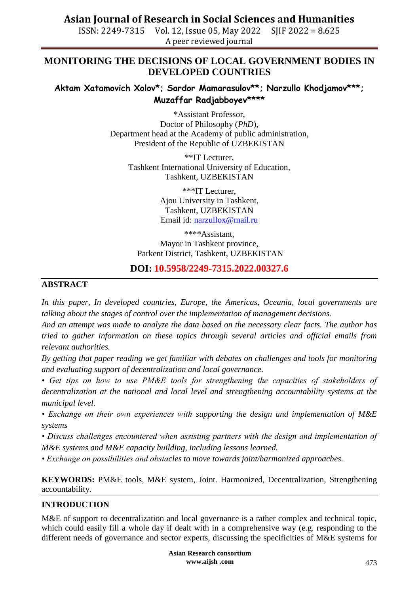ISSN: 2249-7315 Vol. 12, Issue 05, May 2022 SJIF 2022 = 8.625 A peer reviewed journal

## **MONITORING THE DECISIONS OF LOCAL GOVERNMENT BODIES IN DEVELOPED COUNTRIES**

### **Aktam Xatamovich Xolov\*; Sardor Mamarasulov\*\*; Narzullo Khodjamov\*\*\*; Muzaffar Radjabboyev\*\*\*\***

\*Assistant Professor, Doctor of Philosophy (*PhD*), Department head at the Academy of public administration, President of the Republic of UZBEKISTAN

\*\*IT Lecturer, Tashkent International University of Education, Tashkent, UZBEKISTAN

> \*\*\*IT Lecturer, Ajou University in Tashkent, Tashkent, UZBEKISTAN Email id: [narzullox@mail.ru](mailto:narzullox@mail.ru)

\*\*\*\*Assistant, Mayor in Tashkent province, Parkent District, Tashkent, UZBEKISTAN

## **DOI: 10.5958/2249-7315.2022.00327.6**

### **ABSTRACT**

*In this paper, In developed countries, Europe, the Americas, Oceania, local governments are talking about the stages of control over the implementation of management decisions.*

*And an attempt was made to analyze the data based on the necessary clear facts. The author has tried to gather information on these topics through several articles and official emails from relevant authorities.*

*By getting that paper reading we get familiar with debates on challenges and tools for monitoring and evaluating support of decentralization and local governance.* 

• Get tips on how to use PM&E tools for strengthening the capacities of stakeholders of *decentralization at the national and local level and strengthening accountability systems at the municipal level.* 

*• Exchange on their own experiences with supporting the design and implementation of M&E systems* 

*• Discuss challenges encountered when assisting partners with the design and implementation of M&E systems and M&E capacity building, including lessons learned.* 

*• Exchange on possibilities and obstacles to move towards joint/harmonized approaches.*

**KEYWORDS:** PM&E tools, M&E system, Joint. Harmonized, Decentralization, Strengthening accountability.

### **INTRODUCTION**

M&E of support to decentralization and local governance is a rather complex and technical topic, which could easily fill a whole day if dealt with in a comprehensive way (e.g. responding to the different needs of governance and sector experts, discussing the specificities of M&E systems for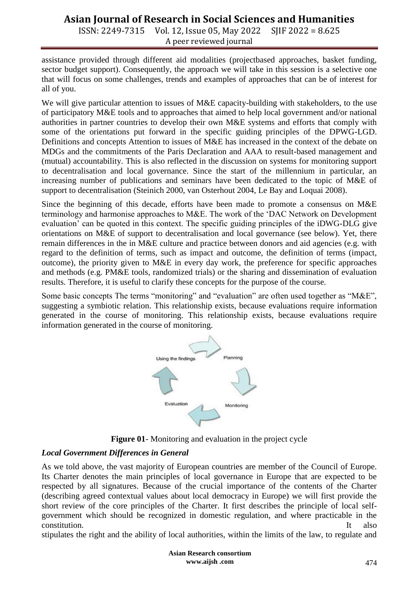ISSN: 2249-7315 Vol. 12, Issue 05, May 2022 SJIF 2022 = 8.625 A peer reviewed journal

assistance provided through different aid modalities (projectbased approaches, basket funding, sector budget support). Consequently, the approach we will take in this session is a selective one that will focus on some challenges, trends and examples of approaches that can be of interest for all of you.

We will give particular attention to issues of M&E capacity-building with stakeholders, to the use of participatory M&E tools and to approaches that aimed to help local government and/or national authorities in partner countries to develop their own M&E systems and efforts that comply with some of the orientations put forward in the specific guiding principles of the DPWG-LGD. Definitions and concepts Attention to issues of M&E has increased in the context of the debate on MDGs and the commitments of the Paris Declaration and AAA to result-based management and (mutual) accountability. This is also reflected in the discussion on systems for monitoring support to decentralisation and local governance. Since the start of the millennium in particular, an increasing number of publications and seminars have been dedicated to the topic of M&E of support to decentralisation (Steinich 2000, van Osterhout 2004, Le Bay and Loquai 2008).

Since the beginning of this decade, efforts have been made to promote a consensus on M&E terminology and harmonise approaches to M&E. The work of the "DAC Network on Development evaluation' can be quoted in this context. The specific guiding principles of the iDWG-DLG give orientations on M&E of support to decentralisation and local governance (see below). Yet, there remain differences in the in M&E culture and practice between donors and aid agencies (e.g. with regard to the definition of terms, such as impact and outcome, the definition of terms (impact, outcome), the priority given to M&E in every day work, the preference for specific approaches and methods (e.g. PM&E tools, randomized trials) or the sharing and dissemination of evaluation results. Therefore, it is useful to clarify these concepts for the purpose of the course.

Some basic concepts The terms "monitoring" and "evaluation" are often used together as "M&E", suggesting a symbiotic relation. This relationship exists, because evaluations require information generated in the course of monitoring. This relationship exists, because evaluations require information generated in the course of monitoring.



**Figure 01**- Monitoring and evaluation in the project cycle

### *Local Government Differences in General*

As we told above, the vast majority of European countries are member of the Council of Europe. Its Charter denotes the main principles of local governance in Europe that are expected to be respected by all signatures. Because of the crucial importance of the contents of the Charter (describing agreed contextual values about local democracy in Europe) we will first provide the short review of the core principles of the Charter. It first describes the principle of local selfgovernment which should be recognized in domestic regulation, and where practicable in the constitution. It also constitution.

stipulates the right and the ability of local authorities, within the limits of the law, to regulate and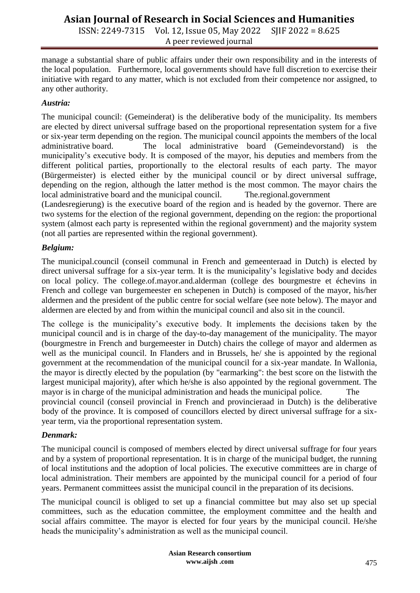ISSN: 2249-7315 Vol. 12, Issue 05, May 2022 SJIF 2022 = 8.625 A peer reviewed journal

manage a substantial share of public affairs under their own responsibility and in the interests of the local population. Furthermore, local governments should have full discretion to exercise their initiative with regard to any matter, which is not excluded from their competence nor assigned, to any other authority.

### *Austria:*

The municipal council: (Gemeinderat) is the deliberative body of the municipality. Its members are elected by direct universal suffrage based on the proportional representation system for a five or six-year term depending on the region. The municipal council appoints the members of the local administrative board. The local administrative board (Gemeindevorstand) is the municipality"s executive body. It is composed of the mayor, his deputies and members from the different political parties, proportionally to the electoral results of each party. The mayor (Bürgermeister) is elected either by the municipal council or by direct universal suffrage, depending on the region, although the latter method is the most common. The mayor chairs the local administrative board and the municipal council. The.regional.government

(Landesregierung) is the executive board of the region and is headed by the governor. There are two systems for the election of the regional government, depending on the region: the proportional system (almost each party is represented within the regional government) and the majority system (not all parties are represented within the regional government).

### *Belgium:*

The municipal.council (conseil communal in French and gemeenteraad in Dutch) is elected by direct universal suffrage for a six-year term. It is the municipality"s legislative body and decides on local policy. The college.of.mayor.and.alderman (college des bourgmestre et échevins in French and college van burgemeester en schepenen in Dutch) is composed of the mayor, his/her aldermen and the president of the public centre for social welfare (see note below). The mayor and aldermen are elected by and from within the municipal council and also sit in the council.

The college is the municipality"s executive body. It implements the decisions taken by the municipal council and is in charge of the day-to-day management of the municipality. The mayor (bourgmestre in French and burgemeester in Dutch) chairs the college of mayor and aldermen as well as the municipal council. In Flanders and in Brussels, he/ she is appointed by the regional government at the recommendation of the municipal council for a six-year mandate. In Wallonia, the mayor is directly elected by the population (by "earmarking": the best score on the listwith the largest municipal majority), after which he/she is also appointed by the regional government. The mayor is in charge of the municipal administration and heads the municipal police. The provincial council (conseil provincial in French and provincieraad in Dutch) is the deliberative body of the province. It is composed of councillors elected by direct universal suffrage for a six-

year term, via the proportional representation system.

## *Denmark:*

The municipal council is composed of members elected by direct universal suffrage for four years and by a system of proportional representation. It is in charge of the municipal budget, the running of local institutions and the adoption of local policies. The executive committees are in charge of local administration. Their members are appointed by the municipal council for a period of four years. Permanent committees assist the municipal council in the preparation of its decisions.

The municipal council is obliged to set up a financial committee but may also set up special committees, such as the education committee, the employment committee and the health and social affairs committee. The mayor is elected for four years by the municipal council. He/she heads the municipality"s administration as well as the municipal council.